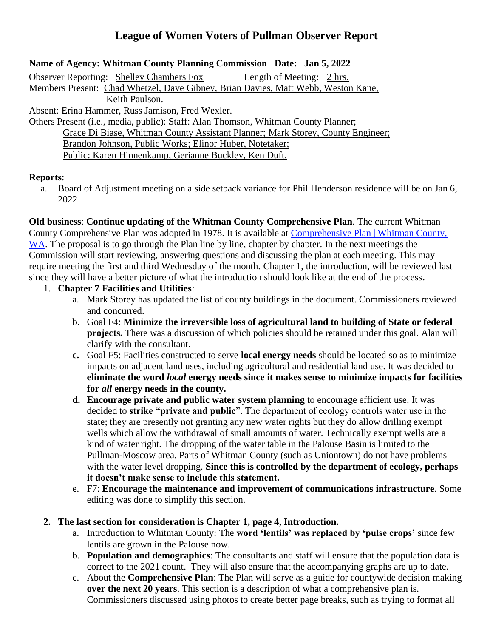## **League of Women Voters of Pullman Observer Report**

## **Name of Agency: Whitman County Planning Commission Date: Jan 5, 2022**

Observer Reporting: Shelley Chambers Fox Length of Meeting: 2 hrs. Members Present: Chad Whetzel, Dave Gibney, Brian Davies, Matt Webb, Weston Kane, Keith Paulson. Absent: Erina Hammer, Russ Jamison, Fred Wexler.

Others Present (i.e., media, public): Staff: Alan Thomson, Whitman County Planner; Grace Di Biase, Whitman County Assistant Planner; Mark Storey, County Engineer; Brandon Johnson, Public Works; Elinor Huber, Notetaker; Public: Karen Hinnenkamp, Gerianne Buckley, Ken Duft.

## **Reports**:

a. Board of Adjustment meeting on a side setback variance for Phil Henderson residence will be on Jan 6, 2022

**Old business**: **Continue updating of the Whitman County Comprehensive Plan**. The current Whitman County Comprehensive Plan was adopted in 1978. It is available at [Comprehensive Plan | Whitman County,](https://www.whitmancounty.org/513/Comprehensive-Plan)  [WA.](https://www.whitmancounty.org/513/Comprehensive-Plan) The proposal is to go through the Plan line by line, chapter by chapter. In the next meetings the Commission will start reviewing, answering questions and discussing the plan at each meeting. This may require meeting the first and third Wednesday of the month. Chapter 1, the introduction, will be reviewed last since they will have a better picture of what the introduction should look like at the end of the process.

- 1. **Chapter 7 Facilities and Utilities**:
	- a. Mark Storey has updated the list of county buildings in the document. Commissioners reviewed and concurred.
	- b. Goal F4: **Minimize the irreversible loss of agricultural land to building of State or federal projects.** There was a discussion of which policies should be retained under this goal. Alan will clarify with the consultant.
	- **c.** Goal F5: Facilities constructed to serve **local energy needs** should be located so as to minimize impacts on adjacent land uses, including agricultural and residential land use. It was decided to **eliminate the word** *local* **energy needs since it makes sense to minimize impacts for facilities for** *all* **energy needs in the county.**
	- **d. Encourage private and public water system planning** to encourage efficient use. It was decided to **strike "private and public**". The department of ecology controls water use in the state; they are presently not granting any new water rights but they do allow drilling exempt wells which allow the withdrawal of small amounts of water. Technically exempt wells are a kind of water right. The dropping of the water table in the Palouse Basin is limited to the Pullman-Moscow area. Parts of Whitman County (such as Uniontown) do not have problems with the water level dropping. **Since this is controlled by the department of ecology, perhaps it doesn't make sense to include this statement.**
	- e. F7: **Encourage the maintenance and improvement of communications infrastructure**. Some editing was done to simplify this section.
- **2. The last section for consideration is Chapter 1, page 4, Introduction.** 
	- a. Introduction to Whitman County: The **word 'lentils' was replaced by 'pulse crops'** since few lentils are grown in the Palouse now.
	- b. **Population and demographics**: The consultants and staff will ensure that the population data is correct to the 2021 count. They will also ensure that the accompanying graphs are up to date.
	- c. About the **Comprehensive Plan**: The Plan will serve as a guide for countywide decision making **over the next 20 years**. This section is a description of what a comprehensive plan is. Commissioners discussed using photos to create better page breaks, such as trying to format all